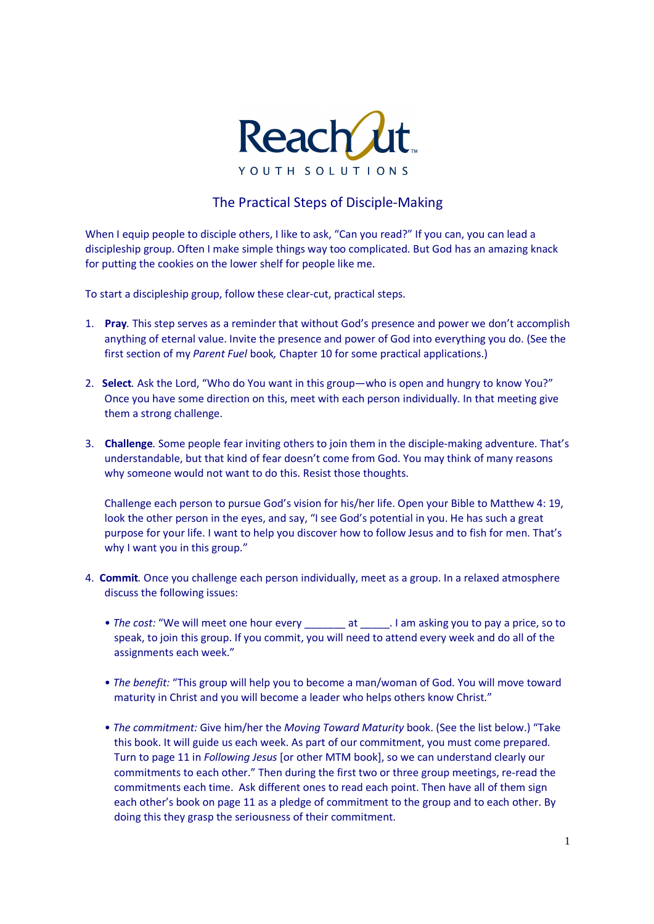

## The Practical Steps of Disciple-Making

When I equip people to disciple others, I like to ask, "Can you read?" If you can, you can lead a discipleship group. Often I make simple things way too complicated. But God has an amazing knack for putting the cookies on the lower shelf for people like me.

To start a discipleship group, follow these clear-cut, practical steps.

- 1. **Pray***.* This step serves as a reminder that without God's presence and power we don't accomplish anything of eternal value. Invite the presence and power of God into everything you do. (See the first section of my *Parent Fuel* book*,* Chapter 10 for some practical applications.)
- 2. **Select***.* Ask the Lord, "Who do You want in this group—who is open and hungry to know You?" Once you have some direction on this, meet with each person individually. In that meeting give them a strong challenge.
- 3. **Challenge***.* Some people fear inviting others to join them in the disciple-making adventure. That's understandable, but that kind of fear doesn't come from God. You may think of many reasons why someone would not want to do this. Resist those thoughts.

Challenge each person to pursue God's vision for his/her life. Open your Bible to Matthew 4: 19, look the other person in the eyes, and say, "I see God's potential in you. He has such a great purpose for your life. I want to help you discover how to follow Jesus and to fish for men. That's why I want you in this group."

- 4. **Commit***.* Once you challenge each person individually, meet as a group. In a relaxed atmosphere discuss the following issues:
	- *The cost:* "We will meet one hour every \_\_\_\_\_\_\_ at \_\_\_\_\_. I am asking you to pay a price, so to speak, to join this group. If you commit, you will need to attend every week and do all of the assignments each week."
	- *The benefit:* "This group will help you to become a man/woman of God. You will move toward maturity in Christ and you will become a leader who helps others know Christ."
	- *The commitment:* Give him/her the *Moving Toward Maturity* book. (See the list below.) "Take this book. It will guide us each week. As part of our commitment, you must come prepared. Turn to page 11 in *Following Jesus* [or other MTM book], so we can understand clearly our commitments to each other." Then during the first two or three group meetings, re-read the commitments each time. Ask different ones to read each point. Then have all of them sign each other's book on page 11 as a pledge of commitment to the group and to each other. By doing this they grasp the seriousness of their commitment.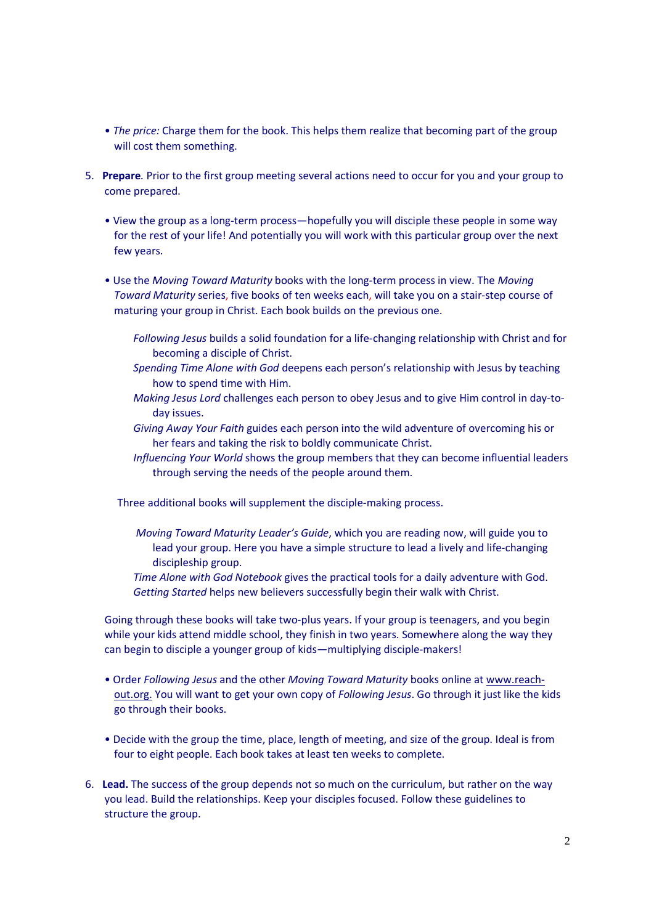- *The price:* Charge them for the book. This helps them realize that becoming part of the group will cost them something.
- 5. **Prepare***.* Prior to the first group meeting several actions need to occur for you and your group to come prepared.
	- View the group as a long-term process—hopefully you will disciple these people in some way for the rest of your life! And potentially you will work with this particular group over the next few years.
	- Use the *Moving Toward Maturity* books with the long-term process in view. The *Moving Toward Maturity* series, five books of ten weeks each, will take you on a stair-step course of maturing your group in Christ. Each book builds on the previous one.
		- *Following Jesus* builds a solid foundation for a life-changing relationship with Christ and for becoming a disciple of Christ.
		- *Spending Time Alone with God* deepens each person's relationship with Jesus by teaching how to spend time with Him.
		- *Making Jesus Lord* challenges each person to obey Jesus and to give Him control in day-today issues.
		- *Giving Away Your Faith* guides each person into the wild adventure of overcoming his or her fears and taking the risk to boldly communicate Christ.
		- *Influencing Your World* shows the group members that they can become influential leaders through serving the needs of the people around them.
		- Three additional books will supplement the disciple-making process.
			- *Moving Toward Maturity Leader's Guide*, which you are reading now, will guide you to lead your group. Here you have a simple structure to lead a lively and life-changing discipleship group.
			- *Time Alone with God Notebook* gives the practical tools for a daily adventure with God. *Getting Started* helps new believers successfully begin their walk with Christ.

Going through these books will take two-plus years. If your group is teenagers, and you begin while your kids attend middle school, they finish in two years. Somewhere along the way they can begin to disciple a younger group of kids—multiplying disciple-makers!

- Order *Following Jesus* and the other *Moving Toward Maturity* books online at www.reachout.org. You will want to get your own copy of *Following Jesus*. Go through it just like the kids go through their books.
- Decide with the group the time, place, length of meeting, and size of the group. Ideal is from four to eight people. Each book takes at least ten weeks to complete.
- 6. **Lead.** The success of the group depends not so much on the curriculum, but rather on the way you lead. Build the relationships. Keep your disciples focused. Follow these guidelines to structure the group.